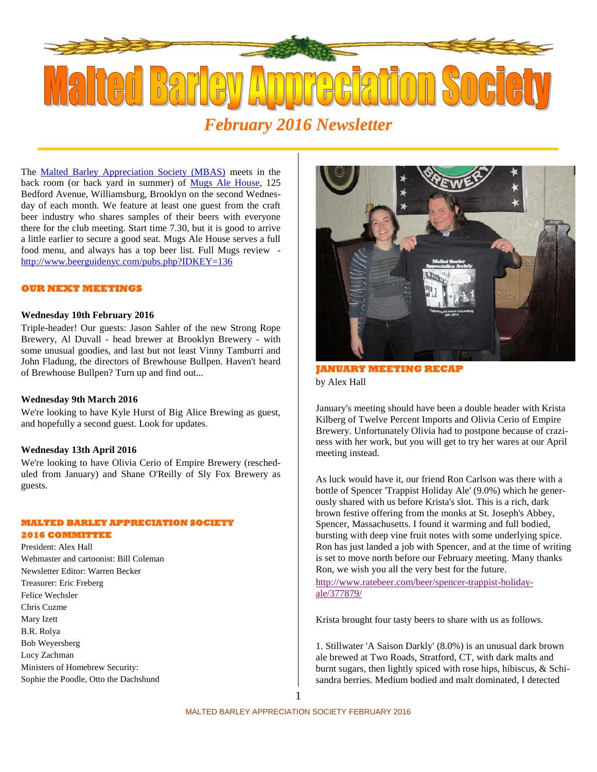

The **Malted Barley Appreciation Society (MBAS)** meets in the back room (or back yard in summer) of Mugs Ale House, 125 Bedford Avenue, Williamsburg, Brooklyn on the second Wednesday of each month. We feature at least one guest from the craft beer industry who shares samples of their beers with everyone there for the club meeting. Start time 7.30, but it is good to arrive a little earlier to secure a good seat. Mugs Ale House serves a full food menu, and always has a top beer list. Full Mugs review http://www.beerguidenyc.com/pubs.php?IDKEY=136

## **OUR NEXT MEETINGS**

#### **Wednesday 10th February 2016**

Triple-header! Our guests: Jason Sahler of the new Strong Rope Brewery, Al Duvall - head brewer at Brooklyn Brewery - with some unusual goodies, and last but not least Vinny Tamburri and John Fladung, the directors of Brewhouse Bullpen. Haven't heard of Brewhouse Bullpen? Turn up and find out...

#### **Wednesday 9th March 2016**

We're looking to have Kyle Hurst of Big Alice Brewing as guest, and hopefully a second guest. Look for updates.

#### **Wednesday 13th April 2016**

We're looking to have Olivia Cerio of Empire Brewery (rescheduled from January) and Shane O'Reilly of Sly Fox Brewery as guests.

#### **MALTED BARLEY APPRECIATION SOCIETY**

### **2016 COMMITTEE**

President: Alex Hall Webmaster and cartoonist: Bill Coleman Newsletter Editor: Warren Becker Treasurer: Eric Freberg Felice Wechsler Chris Cuzme Mary Izett B.R. Rolya Bob Weyersberg Lucy Zachman Ministers of Homebrew Security: Sophie the Poodle, Otto the Dachshund



**JANUARY MEETING RECAP** by Alex Hall

January's meeting should have been a double header with Krista Kilberg of Twelve Percent Imports and Olivia Cerio of Empire Brewery. Unfortunately Olivia had to postpone because of craziness with her work, but you will get to try her wares at our April meeting instead.

As luck would have it, our friend Ron Carlson was there with a bottle of Spencer 'Trappist Holiday Ale' (9.0%) which he generously shared with us before Krista's slot. This is a rich, dark brown festive offering from the monks at St. Joseph's Abbey, Spencer, Massachusetts. I found it warming and full bodied, bursting with deep vine fruit notes with some underlying spice. Ron has just landed a job with Spencer, and at the time of writing is set to move north before our February meeting. Many thanks Ron, we wish you all the very best for the future.

http://www.ratebeer.com/beer/spencer-trappist-holiday ale/377879/

Krista brought four tasty beers to share with us as follows.

1. Stillwater 'A Saison Darkly' (8.0%) is an unusual dark brown ale brewed at Two Roads, Stratford, CT, with dark malts and burnt sugars, then lightly spiced with rose hips, hibiscus, & Schisandra berries. Medium bodied and malt dominated, I detected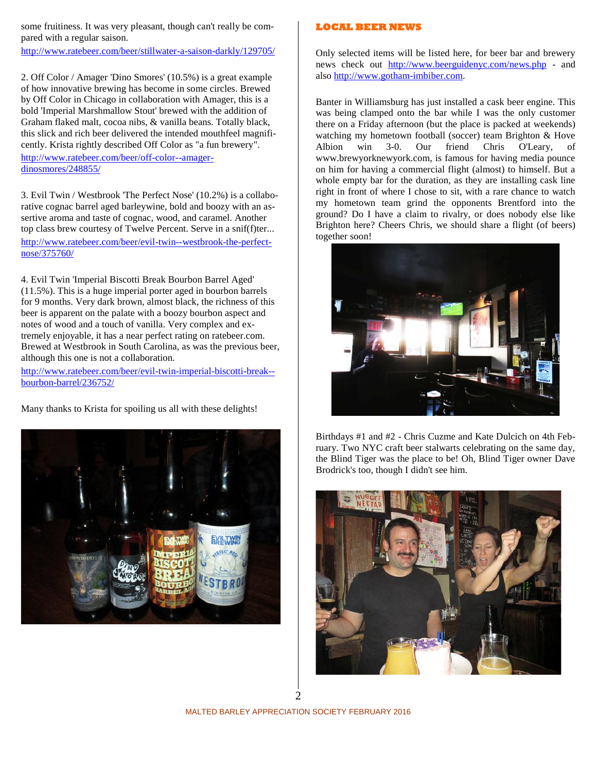some fruitiness. It was very pleasant, though can't really be compared with a regular saison.

http://www.ratebeer.com/beer/stillwater-a-saison-darkly/129705/

2. Off Color / Amager 'Dino Smores' (10.5%) is a great example of how innovative brewing has become in some circles. Brewed by Off Color in Chicago in collaboration with Amager, this is a bold 'Imperial Marshmallow Stout' brewed with the addition of Graham flaked malt, cocoa nibs, & vanilla beans. Totally black, this slick and rich beer delivered the intended mouthfeel magnificently. Krista rightly described Off Color as "a fun brewery".

http://www.ratebeer.com/beer/off-color--amager dinosmores/248855/

3. Evil Twin / Westbrook 'The Perfect Nose' (10.2%) is a collaborative cognac barrel aged barleywine, bold and boozy with an assertive aroma and taste of cognac, wood, and caramel. Another top class brew courtesy of Twelve Percent. Serve in a snif(f)ter... http://www.ratebeer.com/beer/evil-twin--westbrook-the-perfect nose/375760/

4. Evil Twin 'Imperial Biscotti Break Bourbon Barrel Aged' (11.5%). This is a huge imperial porter aged in bourbon barrels for 9 months. Very dark brown, almost black, the richness of this beer is apparent on the palate with a boozy bourbon aspect and notes of wood and a touch of vanilla. Very complex and extremely enjoyable, it has a near perfect rating on ratebeer.com. Brewed at Westbrook in South Carolina, as was the previous beer, although this one is not a collaboration.

http://www.ratebeer.com/beer/evil-twin-imperial-biscotti-break- bourbon-barrel/236752/

Many thanks to Krista for spoiling us all with these delights!



# **LOCAL BEER NEWS**

Only selected items will be listed here, for beer bar and brewery news check out http://www.beerguidenyc.com/news.php - and also http://www.gotham-imbiber.com.

Banter in Williamsburg has just installed a cask beer engine. This was being clamped onto the bar while I was the only customer there on a Friday afternoon (but the place is packed at weekends) watching my hometown football (soccer) team Brighton & Hove Albion win 3-0. Our friend Chris O'Leary, www.brewyorknewyork.com, is famous for having media pounce on him for having a commercial flight (almost) to himself. But a whole empty bar for the duration, as they are installing cask line right in front of where I chose to sit, with a rare chance to watch my hometown team grind the opponents Brentford into the ground? Do I have a claim to rivalry, or does nobody else like Brighton here? Cheers Chris, we should share a flight (of beers) together soon!



Birthdays #1 and #2 - Chris Cuzme and Kate Dulcich on 4th February. Two NYC craft beer stalwarts celebrating on the same day, the Blind Tiger was the place to be! Oh, Blind Tiger owner Dave Brodrick's too, though I didn't see him.



MALTED BARLEY APPRECIATION SOCIETY FEBRUARY 2016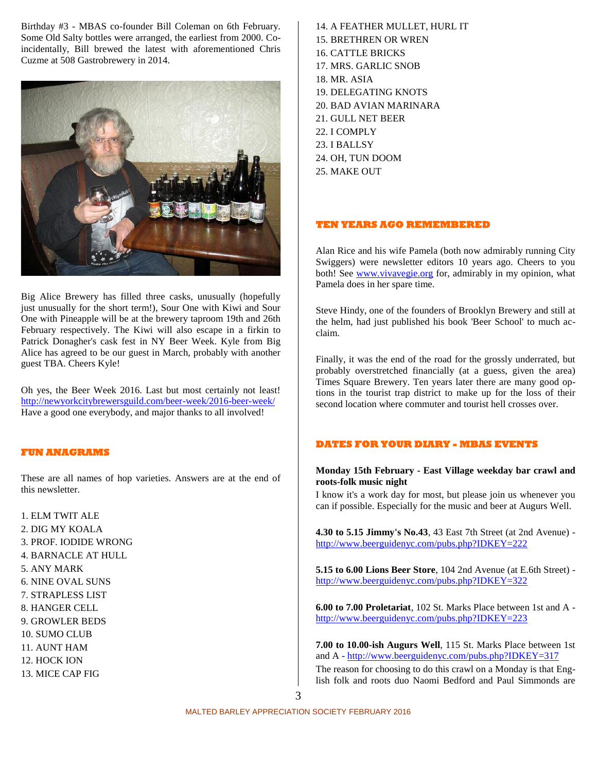Birthday #3 - MBAS co-founder Bill Coleman on 6th February. Some Old Salty bottles were arranged, the earliest from 2000. Coincidentally, Bill brewed the latest with aforementioned Chris Cuzme at 508 Gastrobrewery in 2014.



Big Alice Brewery has filled three casks, unusually (hopefully just unusually for the short term!), Sour One with Kiwi and Sour One with Pineapple will be at the brewery taproom 19th and 26th February respectively. The Kiwi will also escape in a firkin to Patrick Donagher's cask fest in NY Beer Week. Kyle from Big Alice has agreed to be our guest in March, probably with another guest TBA. Cheers Kyle!

Oh yes, the Beer Week 2016. Last but most certainly not least! http://newyorkcitybrewersguild.com/beer-week/2016-beer-week/ Have a good one everybody, and major thanks to all involved!

## **FUN ANAGRAMS**

These are all names of hop varieties. Answers are at the end of this newsletter.

1. ELM TWIT ALE 2. DIG MY KOALA 3. PROF. IODIDE WRONG 4. BARNACLE AT HULL 5. ANY MARK 6. NINE OVAL SUNS 7. STRAPLESS LIST 8. HANGER CELL 9. GROWLER BEDS 10. SUMO CLUB 11. AUNT HAM 12. HOCK ION 13. MICE CAP FIG

14. A FEATHER MULLET, HURL IT 15. BRETHREN OR WREN 16. CATTLE BRICKS 17. MRS. GARLIC SNOB 18. MR. ASIA 19. DELEGATING KNOTS 20. BAD AVIAN MARINARA 21. GULL NET BEER 22. I COMPLY 23. I BALLSY 24. OH, TUN DOOM 25. MAKE OUT

## **TEN YEARS AGO REMEMBERED**

Alan Rice and his wife Pamela (both now admirably running City Swiggers) were newsletter editors 10 years ago. Cheers to you both! See www.vivavegie.org for, admirably in my opinion, what Pamela does in her spare time.

Steve Hindy, one of the founders of Brooklyn Brewery and still at the helm, had just published his book 'Beer School' to much acclaim.

Finally, it was the end of the road for the grossly underrated, but probably overstretched financially (at a guess, given the area) Times Square Brewery. Ten years later there are many good options in the tourist trap district to make up for the loss of their second location where commuter and tourist hell crosses over.

## **DATES FOR YOUR DIARY - MBAS EVENTS**

## **Monday 15th February - East Village weekday bar crawl and roots-folk music night**

I know it's a work day for most, but please join us whenever you can if possible. Especially for the music and beer at Augurs Well.

**4.30 to 5.15 Jimmy's No.43**, 43 East 7th Street (at 2nd Avenue) http://www.beerguidenyc.com/pubs.php?IDKEY=222

**5.15 to 6.00 Lions Beer Store**, 104 2nd Avenue (at E.6th Street) http://www.beerguidenyc.com/pubs.php?IDKEY=322

**6.00 to 7.00 Proletariat**, 102 St. Marks Place between 1st and A http://www.beerguidenyc.com/pubs.php?IDKEY=223

**7.00 to 10.00-ish Augurs Well**, 115 St. Marks Place between 1st and A - http://www.beerguidenyc.com/pubs.php?IDKEY=317 The reason for choosing to do this crawl on a Monday is that English folk and roots duo Naomi Bedford and Paul Simmonds are